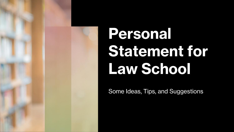

# **Personal Statement for Law School**

Some Ideas, Tips, and Suggestions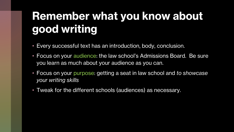### **Remember what you know about good writing**

- Every successful text has an introduction, body, conclusion.
- Focus on your audience: the law school's Admissions Board. Be sure you learn as much about your audience as you can.
- Focus on your purpose: getting a seat in law school and *to showcase your writing skills*
- Tweak for the different schools (audiences) as necessary.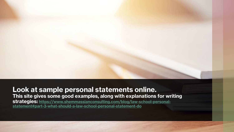#### **Look at sample personal statements online. This site gives some good examples, along with explanations for writing [strategies: https://www.shemmassianconsulting.com/blog/law-school-personal](https://www.shemmassianconsulting.com/blog/law-school-personal-statement#part-3-what-should-a-law-school-personal-statement-do)statement#part-3-what-should-a-law-school-personal-statement-do**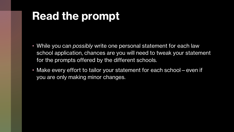#### **Read the prompt**

- While you can *possibly* write one personal statement for each law school application, chances are you will need to tweak your statement for the prompts offered by the different schools.
- Make every effort to tailor your statement for each school even if you are only making minor changes.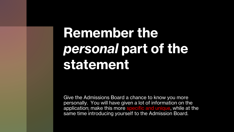## **Remember the**  *personal* **part of the statement**

Give the Admissions Board a chance to know you more personally. You will have given a lot of information on the application; make this more specific and unique, while at the same time introducing yourself to the Admission Board.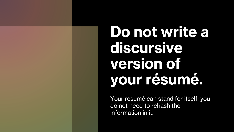**Do not write a discursive version of your résumé.**

Your résumé can stand for itself; you do not need to rehash the information in it.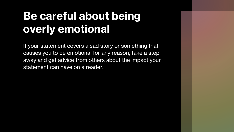### **Be careful about being overly emotional**

If your statement covers a sad story or something that causes you to be emotional for any reason, take a step away and get advice from others about the impact your statement can have on a reader.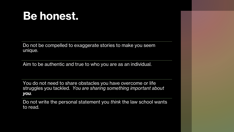#### **Be honest.**

Do not be compelled to exaggerate stories to make you seem unique.

Aim to be authentic and true to who you are as an individual.

You do not need to share obstacles you have overcome or life struggles you tackled. *You are sharing something important about you.*

Do not write the personal statement you *think* the law school wants to read.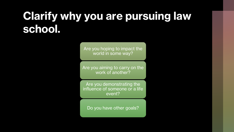#### **Clarify why you are pursuing law school.**

Are you hoping to impact the world in some way?

Are you aiming to carry on the work of another?

Are you demonstrating the influence of someone or a life event?

Do you have other goals?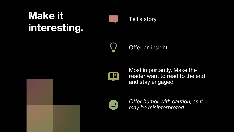#### **Make it interesting.**



Tell a story.



Offer an insight.

Most importantly: Make the reader want to read to the end and stay engaged.



*Offer humor with caution, as it may be misinterpreted.*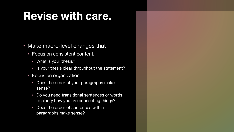#### **Revise with care.**

- Make macro-level changes that
	- Focus on consistent content.
		- What is your thesis?
		- Is your thesis clear throughout the statement?
	- Focus on organization.
		- Does the order of your paragraphs make sense?
		- Do you need transitional sentences or words to clarify how you are connecting things?
		- Does the order of sentences within paragraphs make sense?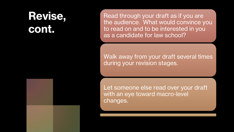#### **Revise, cont.**

Read through your draft as if you are the audience. What would convince you to read on and to be interested in you as a candidate for law school?

Walk away from your draft several times during your revision stages.

Let someone else read over your draft with an eye toward macro-level changes.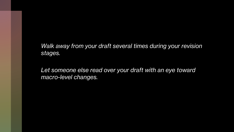*Walk away from your draft several times during your revision stages.* 

*Let someone else read over your draft with an eye toward macro-level changes.*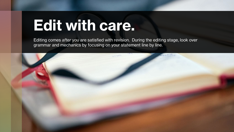## **Edit with care.**

Editing comes *after* you are satisfied with revision. During the editing stage, look over grammar and mechanics by focusing on your statement line by line.

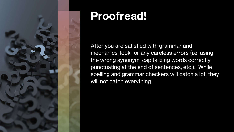

#### **Proofread!**

After you are satisfied with grammar and mechanics, look for any careless errors (i.e. using the wrong synonym, capitalizing words correctly, punctuating at the end of sentences, etc.). While spelling and grammar checkers will catch a lot, they will not catch everything.